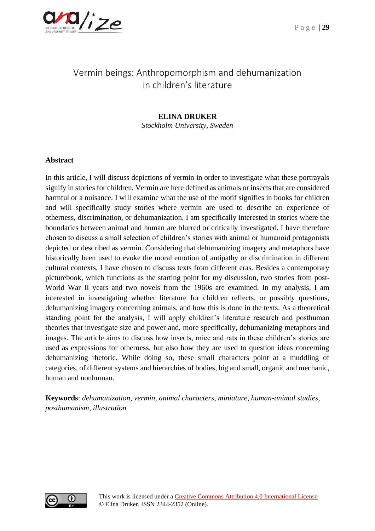

# Vermin beings: Anthropomorphism and dehumanization in children's literature

# **ELINA DRUKER**

*Stockholm University, Sweden*

# **Abstract**

In this article, I will discuss depictions of vermin in order to investigate what these portrayals signify in stories for children. Vermin are here defined as animals or insects that are considered harmful or a nuisance. I will examine what the use of the motif signifies in books for children and will specifically study stories where vermin are used to describe an experience of otherness, discrimination, or dehumanization. I am specifically interested in stories where the boundaries between animal and human are blurred or critically investigated. I have therefore chosen to discuss a small selection of children's stories with animal or humanoid protagonists depicted or described as vermin. Considering that dehumanizing imagery and metaphors have historically been used to evoke the moral emotion of antipathy or discrimination in different cultural contexts, I have chosen to discuss texts from different eras. Besides a contemporary picturebook, which functions as the starting point for my discussion, two stories from post-World War II years and two novels from the 1960s are examined. In my analysis, I am interested in investigating whether literature for children reflects, or possibly questions, dehumanizing imagery concerning animals, and how this is done in the texts. As a theoretical standing point for the analysis, I will apply children's literature research and posthuman theories that investigate size and power and, more specifically, dehumanizing metaphors and images. The article aims to discuss how insects, mice and rats in these children's stories are used as expressions for otherness, but also how they are used to question ideas concerning dehumanizing rhetoric. While doing so, these small characters point at a muddling of categories, of different systems and hierarchies of bodies, big and small, organic and mechanic, human and nonhuman.

**Keywords**: *dehumanization, vermin, animal characters, miniature, human-animal studies, posthumanism, illustration*

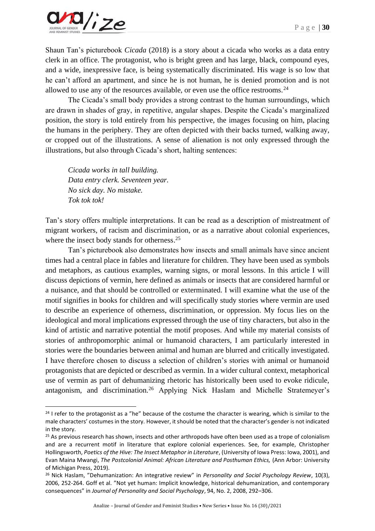

Shaun Tan's picturebook *Cicada* (2018) is a story about a cicada who works as a data entry clerk in an office. The protagonist, who is bright green and has large, black, compound eyes, and a wide, inexpressive face, is being systematically discriminated. His wage is so low that he can't afford an apartment, and since he is not human, he is denied promotion and is not allowed to use any of the resources available, or even use the office restrooms.<sup>24</sup>

The Cicada's small body provides a strong contrast to the human surroundings, which are drawn in shades of gray, in repetitive, angular shapes. Despite the Cicada's marginalized position, the story is told entirely from his perspective, the images focusing on him, placing the humans in the periphery. They are often depicted with their backs turned, walking away, or cropped out of the illustrations. A sense of alienation is not only expressed through the illustrations, but also through Cicada's short, halting sentences:

*Cicada works in tall building. Data entry clerk. Seventeen year. No sick day. No mistake. Tok tok tok!*

Tan's story offers multiple interpretations. It can be read as a description of mistreatment of migrant workers, of racism and discrimination, or as a narrative about colonial experiences, where the insect body stands for otherness.<sup>25</sup>

Tan's picturebook also demonstrates how insects and small animals have since ancient times had a central place in fables and literature for children. They have been used as symbols and metaphors, as cautious examples, warning signs, or moral lessons. In this article I will discuss depictions of vermin, here defined as animals or insects that are considered harmful or a nuisance, and that should be controlled or exterminated. I will examine what the use of the motif signifies in books for children and will specifically study stories where vermin are used to describe an experience of otherness, discrimination, or oppression. My focus lies on the ideological and moral implications expressed through the use of tiny characters, but also in the kind of artistic and narrative potential the motif proposes. And while my material consists of stories of anthropomorphic animal or humanoid characters, I am particularly interested in stories were the boundaries between animal and human are blurred and critically investigated. I have therefore chosen to discuss a selection of children's stories with animal or humanoid protagonists that are depicted or described as vermin. In a wider cultural context, metaphorical use of vermin as part of dehumanizing rhetoric has historically been used to evoke ridicule, antagonism, and discrimination.<sup>26</sup> Applying Nick Haslam and Michelle Stratemeyer's

 $24$  I refer to the protagonist as a "he" because of the costume the character is wearing, which is similar to the male characters' costumes in the story. However, it should be noted that the character's gender is not indicated in the story.

<sup>&</sup>lt;sup>25</sup> As previous research has shown, insects and other arthropods have often been used as a trope of colonialism and are a recurrent motif in literature that explore colonial experiences. See, for example, Christopher Hollingsworth, *Poetics of the Hive: The Insect Metaphor in Literature*, (University of Iowa Press: Iowa, 2001), and Evan Maina Mwangi, *The Postcolonial Animal: African Literature and Posthuman Ethics,* (Ann Arbor: University of Michigan Press, 2019).

<sup>26</sup> Nick Haslam, "Dehumanization: An integrative review" in *Personality and Social Psychology Review*, 10(3), 2006, 252-264. Goff et al. "Not yet human: Implicit knowledge, historical dehumanization, and contemporary consequences" in *Journal of Personality and Social Psychology*, 94, No. 2, 2008, 292–306.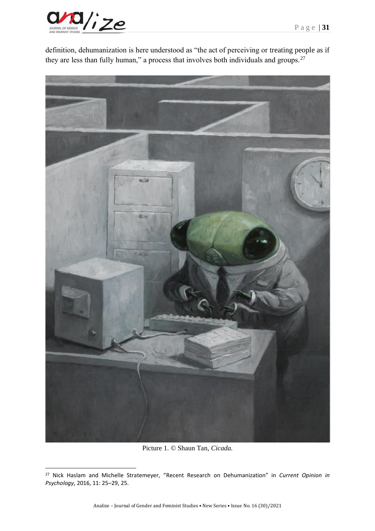

definition, dehumanization is here understood as "the act of perceiving or treating people as if they are less than fully human," a process that involves both individuals and groups.<sup>27</sup>



Picture 1. © Shaun Tan, *Cicada.*

<sup>27</sup> Nick Haslam and Michelle Stratemeyer, "Recent Research on Dehumanization" in *Current Opinion in Psychology*, 2016, 11: 25–29, 25.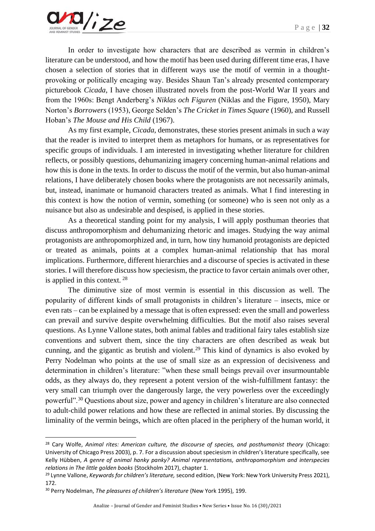In order to investigate how characters that are described as vermin in children's literature can be understood, and how the motif has been used during different time eras, I have chosen a selection of stories that in different ways use the motif of vermin in a thoughtprovoking or politically encaging way. Besides Shaun Tan's already presented contemporary picturebook *Cicada*, I have chosen illustrated novels from the post-World War II years and from the 1960s: Bengt Anderberg's *Niklas och Figuren* (Niklas and the Figure, 1950), Mary Norton's *Borrowers* (1953), George Selden's *The Cricket in Times Square* (1960), and Russell Hoban's *The Mouse and His Child* (1967).

As my first example, *Cicada*, demonstrates, these stories present animals in such a way that the reader is invited to interpret them as metaphors for humans, or as representatives for specific groups of individuals. I am interested in investigating whether literature for children reflects, or possibly questions, dehumanizing imagery concerning human-animal relations and how this is done in the texts. In order to discuss the motif of the vermin, but also human-animal relations, I have deliberately chosen books where the protagonists are not necessarily animals, but, instead, inanimate or humanoid characters treated as animals. What I find interesting in this context is how the notion of vermin, something (or someone) who is seen not only as a nuisance but also as undesirable and despised, is applied in these stories.

As a theoretical standing point for my analysis, I will apply posthuman theories that discuss anthropomorphism and dehumanizing rhetoric and images. Studying the way animal protagonists are anthropomorphized and, in turn, how tiny humanoid protagonists are depicted or treated as animals, points at a complex human-animal relationship that has moral implications. Furthermore, different hierarchies and a discourse of species is activated in these stories. I will therefore discuss how speciesism, the practice to favor certain animals over other, is applied in this context. <sup>28</sup>

The diminutive size of most vermin is essential in this discussion as well. The popularity of different kinds of small protagonists in children's literature – insects, mice or even rats – can be explained by a message that is often expressed: even the small and powerless can prevail and survive despite overwhelming difficulties. But the motif also raises several questions. As Lynne Vallone states, both animal fables and traditional fairy tales establish size conventions and subvert them, since the tiny characters are often described as weak but cunning, and the gigantic as brutish and violent.<sup>29</sup> This kind of dynamics is also evoked by Perry Nodelman who points at the use of small size as an expression of decisiveness and determination in children's literature: "when these small beings prevail over insurmountable odds, as they always do, they represent a potent version of the wish-fulfillment fantasy: the very small can triumph over the dangerously large, the very powerless over the exceedingly powerful".<sup>30</sup> Questions about size, power and agency in children's literature are also connected to adult-child power relations and how these are reflected in animal stories. By discussing the liminality of the vermin beings, which are often placed in the periphery of the human world, it

<sup>&</sup>lt;sup>28</sup> Cary Wolfe, *Animal rites: American culture, the discourse of species, and posthumanist theory* (Chicago: University of Chicago Press 2003), p. 7. For a discussion about speciesism in children's literature specifically, see Kelly Hübben, *A genre of animal hanky panky? Animal representations, anthropomorphism and interspecies relations in The little golden books* (Stockholm 2017), chapter 1.

<sup>29</sup> Lynne Vallone, *Keywords for children's literature,* second edition, (New York: New York University Press 2021), 172.

<sup>30</sup> Perry Nodelman, *The pleasures of children's literature* (New York 1995), 199.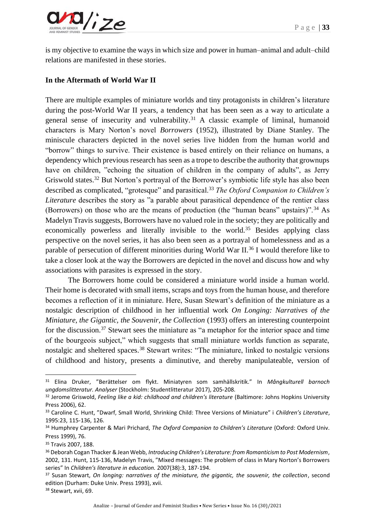

is my objective to examine the ways in which size and power in human–animal and adult–child relations are manifested in these stories.

# **In the Aftermath of World War II**

There are multiple examples of miniature worlds and tiny protagonists in children's literature during the post-World War II years, a tendency that has been seen as a way to articulate a general sense of insecurity and vulnerability.<sup>31</sup> A classic example of liminal, humanoid characters is Mary Norton's novel *Borrowers* (1952), illustrated by Diane Stanley. The miniscule characters depicted in the novel series live hidden from the human world and "borrow" things to survive. Their existence is based entirely on their reliance on humans, a dependency which previous research has seen as a trope to describe the authority that grownups have on children, "echoing the situation of children in the company of adults", as Jerry Griswold states.<sup>32</sup> But Norton's portrayal of the Borrower's symbiotic life style has also been described as complicated, "grotesque" and parasitical.<sup>33</sup> *The Oxford Companion to Children's Literature* describes the story as "a parable about parasitical dependence of the rentier class (Borrowers) on those who are the means of production (the "human beans" upstairs)".  $34$  As Madelyn Travis suggests, Borrowers have no valued role in the society; they are politically and economically powerless and literally invisible to the world.<sup>35</sup> Besides applying class perspective on the novel series, it has also been seen as a portrayal of homelessness and as a parable of persecution of different minorities during World War II.<sup>36</sup> I would therefore like to take a closer look at the way the Borrowers are depicted in the novel and discuss how and why associations with parasites is expressed in the story.

The Borrowers home could be considered a miniature world inside a human world. Their home is decorated with small items, scraps and toys from the human house, and therefore becomes a reflection of it in miniature. Here, Susan Stewart's definition of the miniature as a nostalgic description of childhood in her influential work *On Longing: Narratives of the Miniature, the Gigantic, the Souvenir, the Collection* (1993) offers an interesting counterpoint for the discussion.<sup>37</sup> Stewart sees the miniature as "a metaphor for the interior space and time of the bourgeois subject," which suggests that small miniature worlds function as separate, nostalgic and sheltered spaces.<sup>38</sup> Stewart writes: "The miniature, linked to nostalgic versions of childhood and history, presents a diminutive, and thereby manipulateable, version of

<sup>31</sup> Elina Druker, "Berättelser om flykt. Miniatyren som samhällskritik." In *Mångkulturell barnoch ungdomslitteratur. Analyser* (Stockholm: Studentlitteratur 2017), 205-208.

<sup>32</sup> Jerome Griswold, *Feeling like a kid: childhood and children's literature* (Baltimore: Johns Hopkins University Press 2006), 62.

<sup>33</sup> Caroline C. Hunt, "Dwarf, Small World, Shrinking Child: Three Versions of Miniature" i *Children's Literature*, 1995:23, 115-136, 126.

<sup>34</sup> Humphrey Carpenter & Mari Prichard, *The Oxford Companion to Children's Literature* (Oxford: Oxford Univ. Press 1999), 76.

<sup>&</sup>lt;sup>35</sup> Travis 2007, 188.

<sup>36</sup> Deborah Cogan Thacker & Jean Webb, *Introducing Children's Literature: from Romanticism to Post Modernism*, 2002, 131. Hunt, 115-136, Madelyn Travis, "Mixed messages: The problem of class in Mary Norton's Borrowers series" In *Children's literature in education.* 2007(38):3, 187-194.

<sup>37</sup> Susan Stewart, *On longing: narratives of the miniature, the gigantic, the souvenir, the collection*, second edition (Durham: Duke Univ. Press 1993), xvii.

<sup>38</sup> Stewart, xvii, 69.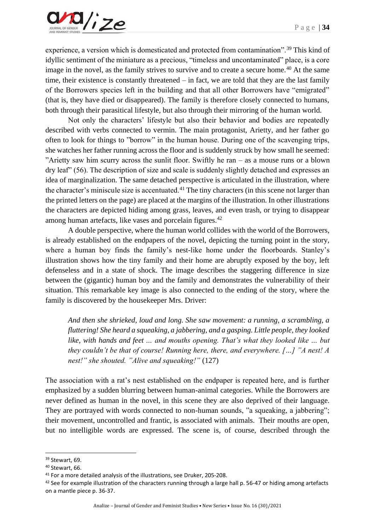experience, a version which is domesticated and protected from contamination".<sup>39</sup> This kind of idyllic sentiment of the miniature as a precious, "timeless and uncontaminated" place, is a core image in the novel, as the family strives to survive and to create a secure home.<sup>40</sup> At the same time, their existence is constantly threatened – in fact, we are told that they are the last family of the Borrowers species left in the building and that all other Borrowers have "emigrated" (that is, they have died or disappeared). The family is therefore closely connected to humans, both through their parasitical lifestyle, but also through their mirroring of the human world.

Not only the characters' lifestyle but also their behavior and bodies are repeatedly described with verbs connected to vermin. The main protagonist, Arietty, and her father go often to look for things to "borrow" in the human house. During one of the scavenging trips, she watches her father running across the floor and is suddenly struck by how small he seemed: "Arietty saw him scurry across the sunlit floor. Swiftly he ran – as a mouse runs or a blown dry leaf" (56). The description of size and scale is suddenly slightly detached and expresses an idea of marginalization. The same detached perspective is articulated in the illustration, where the character's miniscule size is accentuated.<sup>41</sup> The tiny characters (in this scene not larger than the printed letters on the page) are placed at the margins of the illustration. In other illustrations the characters are depicted hiding among grass, leaves, and even trash, or trying to disappear among human artefacts, like vases and porcelain figures.<sup>42</sup>

A double perspective, where the human world collides with the world of the Borrowers, is already established on the endpapers of the novel, depicting the turning point in the story, where a human boy finds the family's nest-like home under the floorboards. Stanley's illustration shows how the tiny family and their home are abruptly exposed by the boy, left defenseless and in a state of shock. The image describes the staggering difference in size between the (gigantic) human boy and the family and demonstrates the vulnerability of their situation. This remarkable key image is also connected to the ending of the story, where the family is discovered by the housekeeper Mrs. Driver:

*And then she shrieked, loud and long. She saw movement: a running, a scrambling, a fluttering! She heard a squeaking, a jabbering, and a gasping. Little people, they looked like, with hands and feet … and mouths opening. That's what they looked like … but they couldn't be that of course! Running here, there, and everywhere. […] "A nest! A nest!" she shouted. "Alive and squeaking!"* (127)

The association with a rat's nest established on the endpaper is repeated here, and is further emphasized by a sudden blurring between human-animal categories. While the Borrowers are never defined as human in the novel, in this scene they are also deprived of their language. They are portrayed with words connected to non-human sounds, "a squeaking, a jabbering"; their movement, uncontrolled and frantic, is associated with animals. Their mouths are open, but no intelligible words are expressed. The scene is, of course, described through the

<sup>39</sup> Stewart, 69.

<sup>40</sup> Stewart, 66.

<sup>41</sup> For a more detailed analysis of the illustrations, see Druker, 205-208.

 $42$  See for example illustration of the characters running through a large hall p. 56-47 or hiding among artefacts on a mantle piece p. 36-37.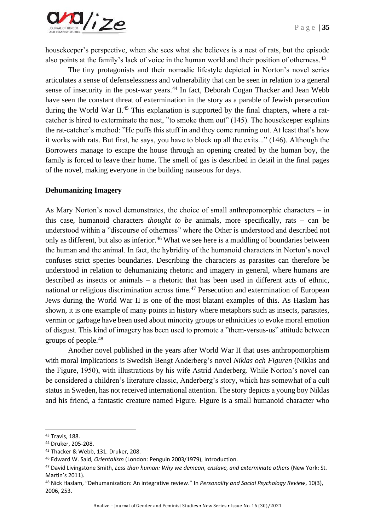

housekeeper's perspective, when she sees what she believes is a nest of rats, but the episode also points at the family's lack of voice in the human world and their position of otherness.<sup>43</sup>

The tiny protagonists and their nomadic lifestyle depicted in Norton's novel series articulates a sense of defenselessness and vulnerability that can be seen in relation to a general sense of insecurity in the post-war years.<sup>44</sup> In fact, Deborah Cogan Thacker and Jean Webb have seen the constant threat of extermination in the story as a parable of Jewish persecution during the World War II.<sup>45</sup> This explanation is supported by the final chapters, where a ratcatcher is hired to exterminate the nest, "to smoke them out" (145). The housekeeper explains the rat-catcher's method: "He puffs this stuff in and they come running out. At least that's how it works with rats. But first, he says, you have to block up all the exits..." (146). Although the Borrowers manage to escape the house through an opening created by the human boy, the family is forced to leave their home. The smell of gas is described in detail in the final pages of the novel, making everyone in the building nauseous for days.

#### **Dehumanizing Imagery**

As Mary Norton's novel demonstrates, the choice of small anthropomorphic characters – in this case, humanoid characters *thought to be* animals, more specifically, rats – can be understood within a "discourse of otherness" where the Other is understood and described not only as different, but also as inferior.<sup>46</sup> What we see here is a muddling of boundaries between the human and the animal. In fact, the hybridity of the humanoid characters in Norton's novel confuses strict species boundaries. Describing the characters as parasites can therefore be understood in relation to dehumanizing rhetoric and imagery in general, where humans are described as insects or animals – a rhetoric that has been used in different acts of ethnic, national or religious discrimination across time.<sup>47</sup> Persecution and extermination of European Jews during the World War II is one of the most blatant examples of this. As Haslam has shown, it is one example of many points in history where metaphors such as insects, parasites, vermin or garbage have been used about minority groups or ethnicities to evoke moral emotion of disgust. This kind of imagery has been used to promote a "them-versus-us" attitude between groups of people.<sup>48</sup>

Another novel published in the years after World War II that uses anthropomorphism with moral implications is Swedish Bengt Anderberg's novel *Niklas och Figuren* (Niklas and the Figure, 1950), with illustrations by his wife Astrid Anderberg. While Norton's novel can be considered a children's literature classic, Anderberg's story, which has somewhat of a cult status in Sweden, has not received international attention. The story depicts a young boy Niklas and his friend, a fantastic creature named Figure. Figure is a small humanoid character who

<sup>43</sup> Travis, 188.

<sup>44</sup> Druker, 205-208.

<sup>45</sup> Thacker & Webb, 131. Druker, 208.

<sup>46</sup> Edward W. Said, *Orientalism* (London: Penguin 2003/1979), Introduction.

<sup>47</sup> David Livingstone Smith, *Less than human: Why we demean, enslave, and exterminate others* (New York: St. Martin's 2011).

<sup>48</sup> Nick Haslam, "Dehumanization: An integrative review." In *Personality and Social Psychology Review*, 10(3), 2006, 253.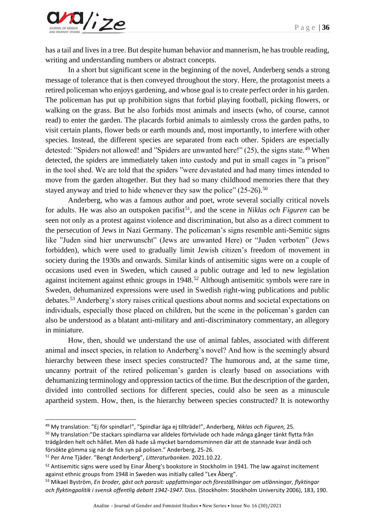

has a tail and lives in a tree. But despite human behavior and mannerism, he has trouble reading, writing and understanding numbers or abstract concepts.

In a short but significant scene in the beginning of the novel, Anderberg sends a strong message of tolerance that is then conveyed throughout the story. Here, the protagonist meets a retired policeman who enjoys gardening, and whose goal is to create perfect order in his garden. The policeman has put up prohibition signs that forbid playing football, picking flowers, or walking on the grass. But he also forbids most animals and insects (who, of course, cannot read) to enter the garden. The placards forbid animals to aimlessly cross the garden paths, to visit certain plants, flower beds or earth mounds and, most importantly, to interfere with other species. Instead, the different species are separated from each other. Spiders are especially detested: "Spiders not allowed! and "Spiders are unwanted here!"  $(25)$ , the signs state.<sup>49</sup> When detected, the spiders are immediately taken into custody and put in small cages in "a prison" in the tool shed. We are told that the spiders "were devastated and had many times intended to move from the garden altogether. But they had so many childhood memories there that they stayed anyway and tried to hide whenever they saw the police"  $(25{\text -}26)$ <sup>50</sup>

Anderberg, who was a famous author and poet, wrote several socially critical novels for adults. He was also an outspoken pacifist<sup>51</sup>, and the scene in *Niklas och Figuren* can be seen not only as a protest against violence and discrimination, but also as a direct comment to the persecution of Jews in Nazi Germany. The policeman's signs resemble anti-Semitic signs like "Juden sind hier unerwunscht" (Jews are unwanted Here) or "Juden verboten" (Jews forbidden), which were used to gradually limit Jewish citizen's freedom of movement in society during the 1930s and onwards. Similar kinds of antisemitic signs were on a couple of occasions used even in Sweden, which caused a public outrage and led to new legislation against incitement against ethnic groups in 1948.<sup>52</sup> Although antisemitic symbols were rare in Sweden, dehumanized expressions were used in Swedish right-wing publications and public debates.<sup>53</sup> Anderberg's story raises critical questions about norms and societal expectations on individuals, especially those placed on children, but the scene in the policeman's garden can also be understood as a blatant anti-military and anti-discriminatory commentary, an allegory in miniature.

How, then, should we understand the use of animal fables, associated with different animal and insect species, in relation to Anderberg's novel? And how is the seemingly absurd hierarchy between these insect species constructed? The humorous and, at the same time, uncanny portrait of the retired policeman's garden is clearly based on associations with dehumanizing terminology and oppression tactics of the time. But the description of the garden, divided into controlled sections for different species, could also be seen as a minuscule apartheid system. How, then, is the hierarchy between species constructed? It is noteworthy

<sup>49</sup> My translation: "Ej för spindlar!", "Spindlar äga ej tillträde!", Anderberg, *Niklas och Figuren,* 25.

<sup>50</sup> My translation:"De stackars spindlarna var alldeles förtvivlade och hade många gånger tänkt flytta från trädgården helt och hållet. Men då hade så mycket barndomsminnen där att de stannade kvar ändå och försökte gömma sig när de fick syn på polisen." Anderberg, 25-26.

<sup>51</sup> Per Arne Tjäder. "Bengt Anderberg", *Litteraturbanken*. 2021.10.22.

<sup>&</sup>lt;sup>52</sup> Antisemitic signs were used by Einar Åberg's bookstore in Stockholm in 1941. The law against incitement against ethnic groups from 1948 in Sweden was initially called "Lex Åberg".

<sup>53</sup> Mikael Byström, *En broder, gäst och parasit: uppfattningar och föreställningar om utlänningar, flyktingar och flyktingpolitik i svensk offentlig debatt 1942-1947*. Diss. (Stockholm: Stockholm University 2006), 183, 190.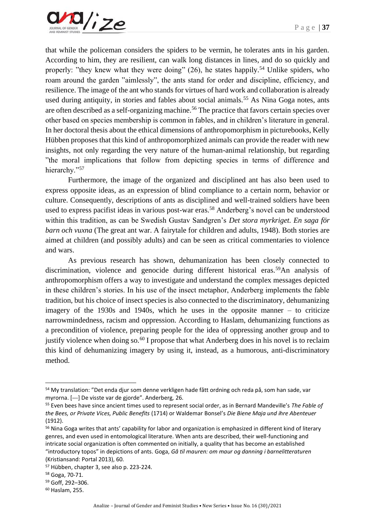that while the policeman considers the spiders to be vermin, he tolerates ants in his garden. According to him, they are resilient, can walk long distances in lines, and do so quickly and properly: "they knew what they were doing"  $(26)$ , he states happily.<sup>54</sup> Unlike spiders, who roam around the garden "aimlessly", the ants stand for order and discipline, efficiency, and resilience. The image of the ant who stands for virtues of hard work and collaboration is already used during antiquity, in stories and fables about social animals.<sup>55</sup> As Nina Goga notes, ants are often described as a self-organizing machine.<sup>56</sup> The practice that favors certain species over other based on species membership is common in fables, and in children's literature in general. In her doctoral thesis about the ethical dimensions of anthropomorphism in picturebooks, Kelly Hübben proposes that this kind of anthropomorphized animals can provide the reader with new insights, not only regarding the very nature of the human-animal relationship, but regarding "the moral implications that follow from depicting species in terms of difference and hierarchy."57

Furthermore, the image of the organized and disciplined ant has also been used to express opposite ideas, as an expression of blind compliance to a certain norm, behavior or culture. Consequently, descriptions of ants as disciplined and well-trained soldiers have been used to express pacifist ideas in various post-war eras.<sup>58</sup> Anderberg's novel can be understood within this tradition, as can be Swedish Gustav Sandgren's *Det stora myrkriget. En saga för barn och vuxna* (The great ant war. A fairytale for children and adults, 1948). Both stories are aimed at children (and possibly adults) and can be seen as critical commentaries to violence and wars.

As previous research has shown, dehumanization has been closely connected to discrimination, violence and genocide during different historical eras.<sup>59</sup>An analysis of anthropomorphism offers a way to investigate and understand the complex messages depicted in these children's stories. In his use of the insect metaphor, Anderberg implements the fable tradition, but his choice of insect species is also connected to the discriminatory, dehumanizing imagery of the 1930s and 1940s, which he uses in the opposite manner – to criticize narrowmindedness, racism and oppression. According to Haslam, dehumanizing functions as a precondition of violence, preparing people for the idea of oppressing another group and to justify violence when doing so.<sup>60</sup> I propose that what Anderberg does in his novel is to reclaim this kind of dehumanizing imagery by using it, instead, as a humorous, anti-discriminatory method.

<sup>54</sup> My translation: "Det enda djur som denne verkligen hade fått ordning och reda på, som han sade, var myrorna. [---] De visste var de gjorde". Anderberg*,* 26.

<sup>55</sup> Even bees have since ancient times used to represent social order, as in Bernard Mandeville's *The Fable of the Bees, or Private Vices, Public Benefits* (1714) or Waldemar Bonsel's *Die Biene Maja und ihre Abenteuer* (1912).

<sup>&</sup>lt;sup>56</sup> Nina Goga writes that ants' capability for labor and organization is emphasized in different kind of literary genres, and even used in entomological literature. When ants are described, their well-functioning and intricate social organization is often commented on initially, a quality that has become an established "introductory topos" in depictions of ants. Goga, *Gå til mauren: om maur og danning i barnelitteraturen* (Kristiansand: Portal 2013), 60.

<sup>57</sup> Hübben, chapter 3, see also p. 223-224.

<sup>58</sup> Goga, 70-71.

<sup>59</sup> Goff, 292–306.

<sup>60</sup> Haslam, 255.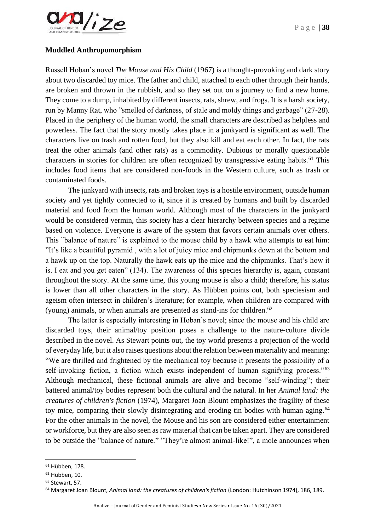

## **Muddled Anthropomorphism**

Russell Hoban's novel *The Mouse and His Child* (1967) is a thought-provoking and dark story about two discarded toy mice. The father and child, attached to each other through their hands, are broken and thrown in the rubbish, and so they set out on a journey to find a new home. They come to a dump, inhabited by different insects, rats, shrew, and frogs. It is a harsh society, run by Manny Rat, who "smelled of darkness, of stale and moldy things and garbage" (27-28). Placed in the periphery of the human world, the small characters are described as helpless and powerless. The fact that the story mostly takes place in a junkyard is significant as well. The characters live on trash and rotten food, but they also kill and eat each other. In fact, the rats treat the other animals (and other rats) as a commodity. Dubious or morally questionable characters in stories for children are often recognized by transgressive eating habits.<sup>61</sup> This includes food items that are considered non-foods in the Western culture, such as trash or contaminated foods.

The junkyard with insects, rats and broken toys is a hostile environment, outside human society and yet tightly connected to it, since it is created by humans and built by discarded material and food from the human world. Although most of the characters in the junkyard would be considered vermin, this society has a clear hierarchy between species and a regime based on violence. Everyone is aware of the system that favors certain animals over others. This "balance of nature" is explained to the mouse child by a hawk who attempts to eat him: "It's like a beautiful pyramid , with a lot of juicy mice and chipmunks down at the bottom and a hawk up on the top. Naturally the hawk eats up the mice and the chipmunks. That's how it is. I eat and you get eaten" (134). The awareness of this species hierarchy is, again, constant throughout the story. At the same time, this young mouse is also a child; therefore, his status is lower than all other characters in the story. As Hübben points out, both speciesism and ageism often intersect in children's literature; for example, when children are compared with (young) animals, or when animals are presented as stand-ins for children.<sup>62</sup>

The latter is especially interesting in Hoban's novel; since the mouse and his child are discarded toys, their animal/toy position poses a challenge to the nature-culture divide described in the novel. As Stewart points out, the toy world presents a projection of the world of everyday life, but it also raises questions about the relation between materiality and meaning: "We are thrilled and frightened by the mechanical toy because it presents the possibility of a self-invoking fiction, a fiction which exists independent of human signifying process."<sup>63</sup> Although mechanical, these fictional animals are alive and become "self-winding"; their battered animal/toy bodies represent both the cultural and the natural. In her *Animal land: the creatures of children's fiction* (1974), Margaret Joan Blount emphasizes the fragility of these toy mice, comparing their slowly disintegrating and eroding tin bodies with human aging.<sup>64</sup> For the other animals in the novel, the Mouse and his son are considered either entertainment or workforce, but they are also seen as raw material that can be taken apart. They are considered to be outside the "balance of nature." "They're almost animal-like!", a mole announces when

<sup>61</sup> Hübben, 178.

<sup>62</sup> Hübben, 10.

<sup>63</sup> Stewart, 57.

<sup>64</sup> Margaret Joan Blount, *Animal land: the creatures of children's fiction* (London: Hutchinson 1974), 186, 189.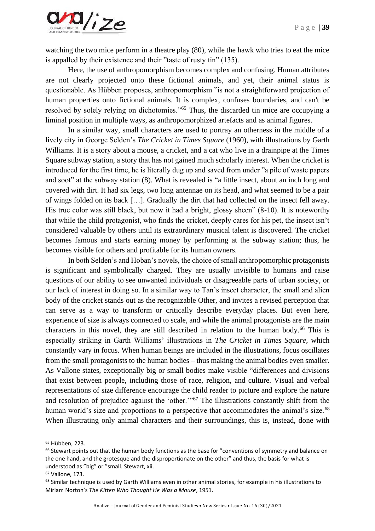

watching the two mice perform in a theatre play  $(80)$ , while the hawk who tries to eat the mice is appalled by their existence and their "taste of rusty tin" (135).

Here, the use of anthropomorphism becomes complex and confusing. Human attributes are not clearly projected onto these fictional animals, and yet, their animal status is questionable. As Hübben proposes, anthropomorphism "is not a straightforward projection of human properties onto fictional animals. It is complex, confuses boundaries, and can't be resolved by solely relying on dichotomies."<sup>65</sup> Thus, the discarded tin mice are occupying a liminal position in multiple ways, as anthropomorphized artefacts and as animal figures.

In a similar way, small characters are used to portray an otherness in the middle of a lively city in George Selden's *The Cricket in Times Square* (1960), with illustrations by Garth Williams. It is a story about a mouse, a cricket, and a cat who live in a drainpipe at the Times Square subway station, a story that has not gained much scholarly interest. When the cricket is introduced for the first time, he is literally dug up and saved from under "a pile of waste papers and soot" at the subway station (8). What is revealed is "a little insect, about an inch long and covered with dirt. It had six legs, two long antennae on its head, and what seemed to be a pair of wings folded on its back […]. Gradually the dirt that had collected on the insect fell away. His true color was still black, but now it had a bright, glossy sheen" (8-10). It is noteworthy that while the child protagonist, who finds the cricket, deeply cares for his pet, the insect isn't considered valuable by others until its extraordinary musical talent is discovered. The cricket becomes famous and starts earning money by performing at the subway station; thus, he becomes visible for others and profitable for its human owners.

In both Selden's and Hoban's novels, the choice of small anthropomorphic protagonists is significant and symbolically charged. They are usually invisible to humans and raise questions of our ability to see unwanted individuals or disagreeable parts of urban society, or our lack of interest in doing so. In a similar way to Tan's insect character, the small and alien body of the cricket stands out as the recognizable Other, and invites a revised perception that can serve as a way to transform or critically describe everyday places. But even here, experience of size is always connected to scale, and while the animal protagonists are the main characters in this novel, they are still described in relation to the human body.<sup>66</sup> This is especially striking in Garth Williams' illustrations in *The Cricket in Times Square*, which constantly vary in focus. When human beings are included in the illustrations, focus oscillates from the small protagonists to the human bodies – thus making the animal bodies even smaller. As Vallone states, exceptionally big or small bodies make visible "differences and divisions that exist between people, including those of race, religion, and culture. Visual and verbal representations of size difference encourage the child reader to picture and explore the nature and resolution of prejudice against the 'other.'"<sup>67</sup> The illustrations constantly shift from the human world's size and proportions to a perspective that accommodates the animal's size.<sup>68</sup> When illustrating only animal characters and their surroundings, this is, instead, done with

<sup>65</sup> Hübben, 223.

<sup>&</sup>lt;sup>66</sup> Stewart points out that the human body functions as the base for "conventions of symmetry and balance on the one hand, and the grotesque and the disproportionate on the other" and thus, the basis for what is understood as "big" or "small. Stewart, xii.

<sup>67</sup> Vallone, 173.

<sup>&</sup>lt;sup>68</sup> Similar technique is used by Garth Williams even in other animal stories, for example in his illustrations to Miriam Norton's *The Kitten Who Thought He Was a Mouse*, 1951.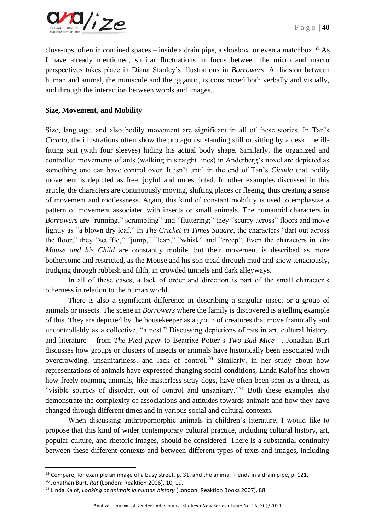

close-ups, often in confined spaces – inside a drain pipe, a shoebox, or even a matchbox.<sup>69</sup> As I have already mentioned, similar fluctuations in focus between the micro and macro perspectives takes place in Diana Stanley's illustrations in *Borrowers*. A division between human and animal, the miniscule and the gigantic, is constructed both verbally and visually, and through the interaction between words and images.

# **Size, Movement, and Mobility**

Size, language, and also bodily movement are significant in all of these stories. In Tan's *Cicada*, the illustrations often show the protagonist standing still or sitting by a desk, the illfitting suit (with four sleeves) hiding his actual body shape. Similarly, the organized and controlled movements of ants (walking in straight lines) in Anderberg's novel are depicted as something one can have control over. It isn't until in the end of Tan's *Cicada* that bodily movement is depicted as free, joyful and unrestricted. In other examples discussed in this article, the characters are continuously moving, shifting places or fleeing, thus creating a sense of movement and rootlessness. Again, this kind of constant mobility is used to emphasize a pattern of movement associated with insects or small animals. The humanoid characters in *Borrowers* are "running," scrambling" and "fluttering;" they "scurry across" floors and move lightly as "a blown dry leaf." In *The Cricket in Times Square*, the characters "dart out across the floor;" they "scuffle," "jump," "leap," "whisk" and "creep". Even the characters in *The Mouse and his Child* are constantly mobile, but their movement is described as more bothersome and restricted, as the Mouse and his son tread through mud and snow tenaciously, trudging through rubbish and filth, in crowded tunnels and dark alleyways.

In all of these cases, a lack of order and direction is part of the small character's otherness in relation to the human world.

There is also a significant difference in describing a singular insect or a group of animals or insects. The scene in *Borrowers* where the family is discovered is a telling example of this. They are depicted by the housekeeper as a group of creatures that move frantically and uncontrollably as a collective, "a nest." Discussing depictions of rats in art, cultural history, and literature – from *The Pied piper* to Beatrixe Potter's *Two Bad Mice* –, Jonathan Burt discusses how groups or clusters of insects or animals have historically been associated with overcrowding, unsanitariness, and lack of control.<sup>70</sup> Similarly, in her study about how representations of animals have expressed changing social conditions, Linda Kalof has shown how freely roaming animals, like masterless stray dogs, have often been seen as a threat, as "visible sources of disorder, out of control and unsanitary."<sup>71</sup> Both these examples also demonstrate the complexity of associations and attitudes towards animals and how they have changed through different times and in various social and cultural contexts.

When discussing anthropomorphic animals in children's literature, I would like to propose that this kind of wider contemporary cultural practice, including cultural history, art, popular culture, and rhetoric images, should be considered. There is a substantial continuity between these different contexts and between different types of texts and images, including

 $69$  Compare, for example an image of a busy street, p. 31, and the animal friends in a drain pipe, p. 121.

<sup>70</sup> Jonathan Burt, *Rat* (London: Reaktion 2006), 10, 19.

<sup>71</sup> Linda Kalof, *Looking at animals in human history* (London: Reaktion Books 2007), 88.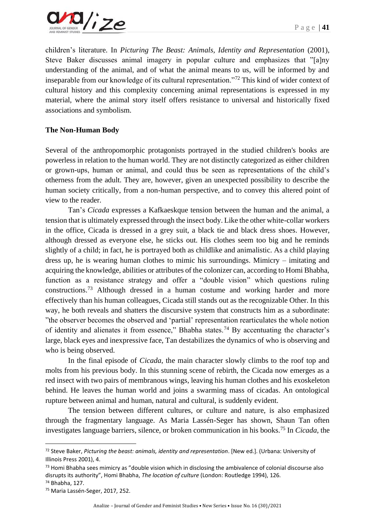

children's literature. In *Picturing The Beast: Animals, Identity and Representation* (2001), Steve Baker discusses animal imagery in popular culture and emphasizes that "[a]ny understanding of the animal, and of what the animal means to us, will be informed by and inseparable from our knowledge of its cultural representation."<sup>72</sup> This kind of wider context of cultural history and this complexity concerning animal representations is expressed in my material, where the animal story itself offers resistance to universal and historically fixed associations and symbolism.

# **The Non-Human Body**

Several of the anthropomorphic protagonists portrayed in the studied children's books are powerless in relation to the human world. They are not distinctly categorized as either children or grown-ups, human or animal, and could thus be seen as representations of the child's otherness from the adult. They are, however, given an unexpected possibility to describe the human society critically, from a non-human perspective, and to convey this altered point of view to the reader.

Tan's *Cicada* expresses a Kafkaeskque tension between the human and the animal, a tension that is ultimately expressed through the insect body. Like the other white-collar workers in the office, Cicada is dressed in a grey suit, a black tie and black dress shoes. However, although dressed as everyone else, he sticks out. His clothes seem too big and he reminds slightly of a child; in fact, he is portrayed both as childlike and animalistic. As a child playing dress up, he is wearing human clothes to mimic his surroundings. Mimicry – imitating and acquiring the knowledge, abilities or attributes of the colonizer can, according to Homi Bhabha, function as a resistance strategy and offer a "double vision" which questions ruling constructions.<sup>73</sup> Although dressed in a human costume and working harder and more effectively than his human colleagues, Cicada still stands out as the recognizable Other. In this way, he both reveals and shatters the discursive system that constructs him as a subordinate: "the observer becomes the observed and 'partial' representation rearticulates the whole notion of identity and alienates it from essence," Bhabha states.<sup>74</sup> By accentuating the character's large, black eyes and inexpressive face, Tan destabilizes the dynamics of who is observing and who is being observed.

In the final episode of *Cicada*, the main character slowly climbs to the roof top and molts from his previous body. In this stunning scene of rebirth, the Cicada now emerges as a red insect with two pairs of membranous wings, leaving his human clothes and his exoskeleton behind. He leaves the human world and joins a swarming mass of cicadas. An ontological rupture between animal and human, natural and cultural, is suddenly evident.

The tension between different cultures, or culture and nature, is also emphasized through the fragmentary language. As Maria Lassén-Seger has shown, Shaun Tan often investigates language barriers, silence, or broken communication in his books.<sup>75</sup> In *Cicada*, the

<sup>72</sup> Steve Baker, *Picturing the beast: animals, identity and representation*. [New ed.]. (Urbana: University of Illinois Press 2001), 4.

<sup>&</sup>lt;sup>73</sup> Homi Bhabha sees mimicry as "double vision which in disclosing the ambivalence of colonial discourse also disrupts its authority", Homi Bhabha, *The location of culture* (London: Routledge 1994), 126.

<sup>74</sup> Bhabha, 127.

<sup>75</sup> Maria Lassén-Seger, 2017, 252.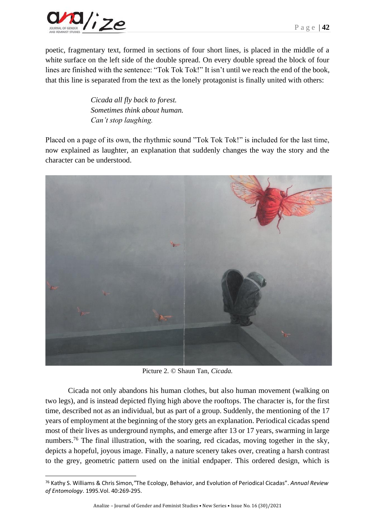

poetic, fragmentary text, formed in sections of four short lines, is placed in the middle of a white surface on the left side of the double spread. On every double spread the block of four lines are finished with the sentence: "Tok Tok Tok!" It isn't until we reach the end of the book, that this line is separated from the text as the lonely protagonist is finally united with others:

> *Cicada all fly back to forest. Sometimes think about human. Can't stop laughing.*

Placed on a page of its own, the rhythmic sound "Tok Tok Tok!" is included for the last time, now explained as laughter, an explanation that suddenly changes the way the story and the character can be understood.



Picture 2. © Shaun Tan, *Cicada.*

Cicada not only abandons his human clothes, but also human movement (walking on two legs), and is instead depicted flying high above the rooftops. The character is, for the first time, described not as an individual, but as part of a group. Suddenly, the mentioning of the 17 years of employment at the beginning of the story gets an explanation. Periodical cicadas spend most of their lives as underground nymphs, and emerge after 13 or 17 years, swarming in large numbers.<sup>76</sup> The final illustration, with the soaring, red cicadas, moving together in the sky, depicts a hopeful, joyous image. Finally, a nature scenery takes over, creating a harsh contrast to the grey, geometric pattern used on the initial endpaper. This ordered design, which is

<sup>76</sup> Kathy S. Williams & Chris Simon,*"*The Ecology, Behavior, and Evolution of Periodical Cicadas". *Annual Review of Entomology*. 1995.Vol. 40:269-295.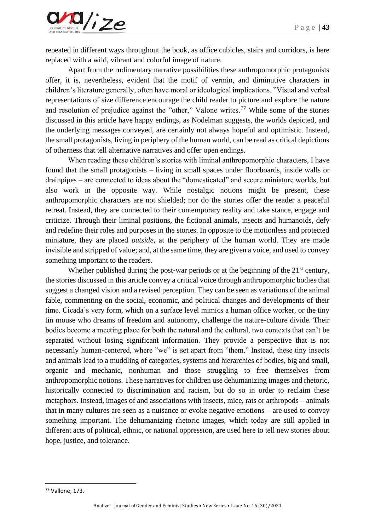

repeated in different ways throughout the book, as office cubicles, stairs and corridors, is here replaced with a wild, vibrant and colorful image of nature.

Apart from the rudimentary narrative possibilities these anthropomorphic protagonists offer, it is, nevertheless, evident that the motif of vermin, and diminutive characters in children's literature generally, often have moral or ideological implications. "Visual and verbal representations of size difference encourage the child reader to picture and explore the nature and resolution of prejudice against the "other," Valone writes.<sup>77</sup> While some of the stories discussed in this article have happy endings, as Nodelman suggests, the worlds depicted, and the underlying messages conveyed, are certainly not always hopeful and optimistic. Instead, the small protagonists, living in periphery of the human world, can be read as critical depictions of otherness that tell alternative narratives and offer open endings.

When reading these children's stories with liminal anthropomorphic characters, I have found that the small protagonists – living in small spaces under floorboards, inside walls or drainpipes – are connected to ideas about the "domesticated" and secure miniature worlds, but also work in the opposite way. While nostalgic notions might be present, these anthropomorphic characters are not shielded; nor do the stories offer the reader a peaceful retreat. Instead, they are connected to their contemporary reality and take stance, engage and criticize. Through their liminal positions, the fictional animals, insects and humanoids, defy and redefine their roles and purposes in the stories. In opposite to the motionless and protected miniature, they are placed *outside*, at the periphery of the human world. They are made invisible and stripped of value; and, at the same time, they are given a voice, and used to convey something important to the readers.

Whether published during the post-war periods or at the beginning of the 21<sup>st</sup> century, the stories discussed in this article convey a critical voice through anthropomorphic bodies that suggest a changed vision and a revised perception. They can be seen as variations of the animal fable, commenting on the social, economic, and political changes and developments of their time. Cicada's very form, which on a surface level mimics a human office worker, or the tiny tin mouse who dreams of freedom and autonomy, challenge the nature-culture divide. Their bodies become a meeting place for both the natural and the cultural, two contexts that can't be separated without losing significant information. They provide a perspective that is not necessarily human-centered, where "we" is set apart from "them." Instead, these tiny insects and animals lead to a muddling of categories, systems and hierarchies of bodies, big and small, organic and mechanic, nonhuman and those struggling to free themselves from anthropomorphic notions. These narratives for children use dehumanizing images and rhetoric, historically connected to discrimination and racism, but do so in order to reclaim these metaphors. Instead, images of and associations with insects, mice, rats or arthropods – animals that in many cultures are seen as a nuisance or evoke negative emotions – are used to convey something important. The dehumanizing rhetoric images, which today are still applied in different acts of political, ethnic, or national oppression, are used here to tell new stories about hope, justice, and tolerance.

<sup>77</sup> Vallone, 173.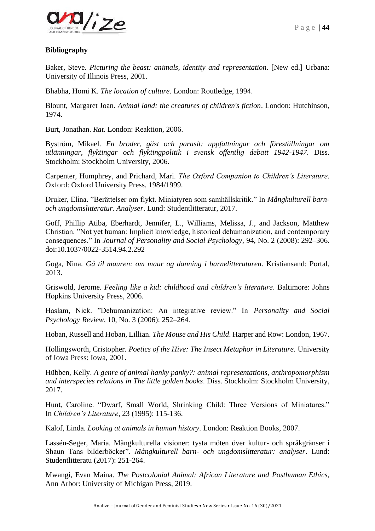

# **Bibliography**

Baker, Steve. *Picturing the beast: animals, identity and representation*. [New ed.] Urbana: University of Illinois Press, 2001.

Bhabha, Homi K. *The location of culture*. London: Routledge, 1994.

Blount, Margaret Joan. *Animal land: the creatures of children's fiction*. London: Hutchinson, 1974.

Burt, Jonathan. *Rat*. London: Reaktion, 2006.

Byström, Mikael. *En broder, gäst och parasit: uppfattningar och föreställningar om utlänningar, flyktingar och flyktingpolitik i svensk offentlig debatt 1942-1947*. Diss. Stockholm: Stockholm University, 2006.

Carpenter, Humphrey, and Prichard, Mari. *The Oxford Companion to Children's Literature*. Oxford: Oxford University Press, 1984/1999.

Druker, Elina. "Berättelser om flykt. Miniatyren som samhällskritik." In *Mångkulturell barnoch ungdomslitteratur. Analyser*. Lund: Studentlitteratur, 2017.

Goff, Phillip Atiba, Eberhardt, Jennifer, L., Williams, Melissa, J., and Jackson, Matthew Christian. "Not yet human: Implicit knowledge, historical dehumanization, and contemporary consequences." In *Journal of Personality and Social Psychology*, 94, No. 2 (2008): 292–306. doi:10.1037/0022-3514.94.2.292

Goga, Nina. *Gå til mauren: om maur og danning i barnelitteraturen*. Kristiansand: Portal, 2013.

Griswold, Jerome. *Feeling like a kid: childhood and children's literature*. Baltimore: Johns Hopkins University Press, 2006.

Haslam, Nick. "Dehumanization: An integrative review." In *Personality and Social Psychology Review*, 10, No. 3 (2006): 252–264.

Hoban, Russell and Hoban, Lillian. *The Mouse and His Child*. Harper and Row: London, 1967.

Hollingsworth, Cristopher. *Poetics of the Hive: The Insect Metaphor in Literature.* University of Iowa Press: Iowa, 2001.

Hübben, Kelly. *A genre of animal hanky panky?: animal representations, anthropomorphism and interspecies relations in The little golden books*. Diss. Stockholm: Stockholm University, 2017.

Hunt, Caroline. "Dwarf, Small World, Shrinking Child: Three Versions of Miniatures." In *Children's Literature*, 23 (1995): 115-136.

Kalof, Linda. *Looking at animals in human history*. London: Reaktion Books, 2007.

Lassén-Seger, Maria. Mångkulturella visioner: tysta möten över kultur- och språkgränser i Shaun Tans bilderböcker". *Mångkulturell barn- och ungdomslitteratur: analyser*. Lund: Studentlitteratu (2017): 251-264.

Mwangi, Evan Maina. *The Postcolonial Animal: African Literature and Posthuman Ethics,* Ann Arbor: University of Michigan Press, 2019.